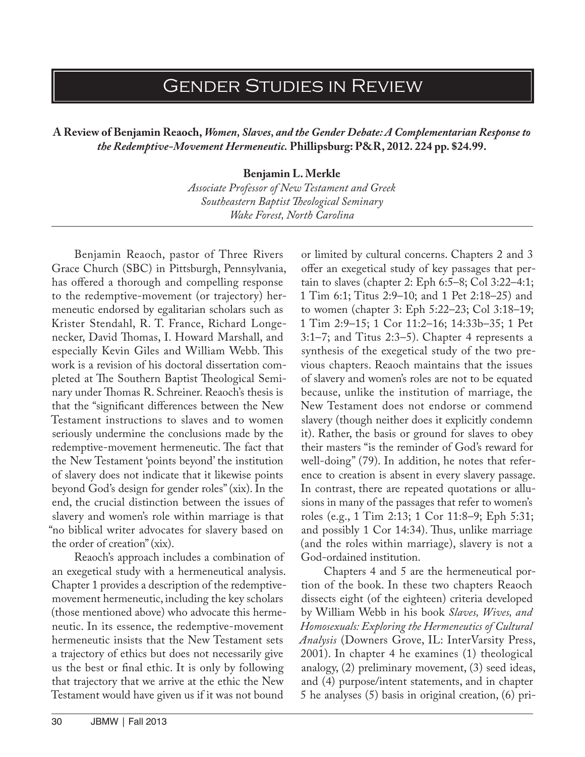## Gender Studies in Review

**A Review of Benjamin Reaoch,** *Women, Slaves, and the Gender Debate: A Complementarian Response to the Redemptive-Movement Hermeneutic.* **Phillipsburg: P&R, 2012. 224 pp. \$24.99.**

**Benjamin L. Merkle**

*Associate Professor of New Testament and Greek Southeastern Baptist Theological Seminary Wake Forest, North Carolina*

Benjamin Reaoch, pastor of Three Rivers Grace Church (SBC) in Pittsburgh, Pennsylvania, has offered a thorough and compelling response to the redemptive-movement (or trajectory) hermeneutic endorsed by egalitarian scholars such as Krister Stendahl, R. T. France, Richard Longenecker, David Thomas, I. Howard Marshall, and especially Kevin Giles and William Webb. This work is a revision of his doctoral dissertation completed at The Southern Baptist Theological Seminary under Thomas R. Schreiner. Reaoch's thesis is that the "significant differences between the New Testament instructions to slaves and to women seriously undermine the conclusions made by the redemptive-movement hermeneutic. The fact that the New Testament 'points beyond' the institution of slavery does not indicate that it likewise points beyond God's design for gender roles" (xix). In the end, the crucial distinction between the issues of slavery and women's role within marriage is that "no biblical writer advocates for slavery based on the order of creation" (xix).

Reaoch's approach includes a combination of an exegetical study with a hermeneutical analysis. Chapter 1 provides a description of the redemptivemovement hermeneutic, including the key scholars (those mentioned above) who advocate this hermeneutic. In its essence, the redemptive-movement hermeneutic insists that the New Testament sets a trajectory of ethics but does not necessarily give us the best or final ethic. It is only by following that trajectory that we arrive at the ethic the New Testament would have given us if it was not bound

or limited by cultural concerns. Chapters 2 and 3 offer an exegetical study of key passages that pertain to slaves (chapter 2: Eph 6:5–8; Col 3:22–4:1; 1 Tim 6:1; Titus 2:9–10; and 1 Pet 2:18–25) and to women (chapter 3: Eph 5:22–23; Col 3:18–19; 1 Tim 2:9–15; 1 Cor 11:2–16; 14:33b–35; 1 Pet 3:1–7; and Titus 2:3–5). Chapter 4 represents a synthesis of the exegetical study of the two previous chapters. Reaoch maintains that the issues of slavery and women's roles are not to be equated because, unlike the institution of marriage, the New Testament does not endorse or commend slavery (though neither does it explicitly condemn it). Rather, the basis or ground for slaves to obey their masters "is the reminder of God's reward for well-doing" (79). In addition, he notes that reference to creation is absent in every slavery passage. In contrast, there are repeated quotations or allusions in many of the passages that refer to women's roles (e.g., 1 Tim 2:13; 1 Cor 11:8–9; Eph 5:31; and possibly 1 Cor 14:34). Thus, unlike marriage (and the roles within marriage), slavery is not a God-ordained institution.

Chapters 4 and 5 are the hermeneutical portion of the book. In these two chapters Reaoch dissects eight (of the eighteen) criteria developed by William Webb in his book *Slaves, Wives, and Homosexuals: Exploring the Hermeneutics of Cultural Analysis* (Downers Grove, IL: InterVarsity Press, 2001). In chapter 4 he examines (1) theological analogy, (2) preliminary movement, (3) seed ideas, and (4) purpose/intent statements, and in chapter 5 he analyses (5) basis in original creation, (6) pri